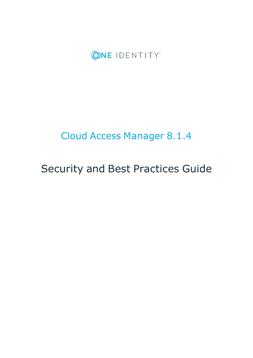

# Cloud Access Manager 8.1.4

# Security and Best Practices Guide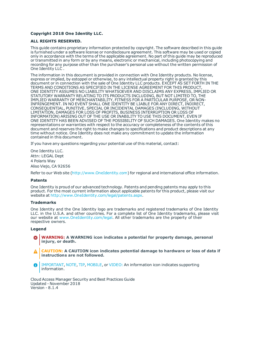#### **Copyright 2018 One Identity LLC.**

#### **ALL RIGHTS RESERVED.**

This guide contains proprietary information protected by copyright. The software described in this guide is furnished under a software license or nondisclosure agreement. This software may be used or copied only in accordance with the terms of the applicable agreement. No part of this guide may be reproduced or transmitted in any form or by any means, electronic or mechanical, including photocopying and recording for any purpose other than the purchaser's personal use without the written permission of One Identity LLC .

The information in this document is provided in connection with One Identity products. No license, express or implied, by estoppel or otherwise, to any intellectual property right is granted by this document or in connection with the sale of One Identity LLC products. EXCEPT AS SET FORTH IN THE TERMS AND CONDITIONS AS SPECIFIED IN THE LICENSE AGREEMENT FOR THIS PRODUCT, ONE IDENTITY ASSUMES NO LIABILITY WHATSOEVER AND DISCLAIMS ANY EXPRESS, IMPLIED OR STATUTORY WARRANTY RELATING TO ITS PRODUCTS INCLUDING, BUT NOT LIMITED TO, THE IMPLIED WARRANTY OF MERCHANTABILITY, FITNESS FOR A PARTICULAR PURPOSE, OR NON-INFRINGEMENT. IN NO EVENT SHALL ONE IDENTITY BE LIABLE FOR ANY DIRECT, INDIRECT, CONSEQUENTIAL, PUNITIVE, SPECIAL OR INCIDENTAL DAMAGES (INCLUDING, WITHOUT LIMITATION, DAMAGES FOR LOSS OF PROFITS, BUSINESS INTERRUPTION OR LOSS OF INFORMATION) ARISING OUT OF THE USE OR INABILITY TO USE THIS DOCUMENT, EVEN IF ONE IDENTITY HAS BEEN ADVISED OF THE POSSIBILITY OF SUCH DAMAGES. One Identity makes no representations or warranties with respect to the accuracy or completeness of the contents of this document and reserves the right to make changes to specifications and product descriptions at any time without notice. One Identity does not make any commitment to update the information contained in this document.

If you have any questions regarding your potential use of this material, contact:

One Identity LLC. Attn: LEGAL Dept 4 Polaris Way Aliso Viejo, CA 92656

Refer to our Web site ([http://www.OneIdentity.com](http://www.oneidentity.com/)) for regional and international office information.

#### **Patents**

One Identity is proud of our advanced technology. Patents and pending patents may apply to this product. For the most current information about applicable patents for this product, please visit our website at [http://www.OneIdentity.com/legal/patents.aspx](http://www.oneidentity.com/legal/patents.aspx).

#### **Trademarks**

One Identity and the One Identity logo are trademarks and registered trademarks of One Identity LLC. in the U.S.A. and other countries. For a complete list of One Identity trademarks, please visit our website at [www.OneIdentity.com/legal](http://www.oneidentity.com/legal). All other trademarks are the property of their respective owners.

#### **Legend**

- **WARNING: A WARNING icon indicates a potential for property damage, personal injury, or death.**
- **CAUTION: A CAUTION icon indicates potential damage to hardware or loss of data if instructions are not followed.**
- IMPORTANT, NOTE, TIP, MOBILE, or VIDEO: An information icon indicates supporting Œ information.

Cloud Access Manager Security and Best Practices Guide Updated - November 2018 Version - 8.1.4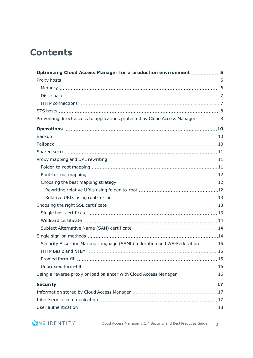# **Contents**

| Optimizing Cloud Access Manager for a production environment  5               |  |
|-------------------------------------------------------------------------------|--|
|                                                                               |  |
|                                                                               |  |
|                                                                               |  |
|                                                                               |  |
|                                                                               |  |
| Preventing direct access to applications protected by Cloud Access Manager  8 |  |
|                                                                               |  |
|                                                                               |  |
|                                                                               |  |
|                                                                               |  |
|                                                                               |  |
|                                                                               |  |
|                                                                               |  |
|                                                                               |  |
|                                                                               |  |
|                                                                               |  |
|                                                                               |  |
|                                                                               |  |
|                                                                               |  |
|                                                                               |  |
|                                                                               |  |
| Security Assertion Markup Language (SAML) federation and WS-Federation 15     |  |
|                                                                               |  |
|                                                                               |  |
|                                                                               |  |
| Using a reverse proxy or load balancer with Cloud Access Manager 16           |  |
|                                                                               |  |
|                                                                               |  |
|                                                                               |  |
|                                                                               |  |

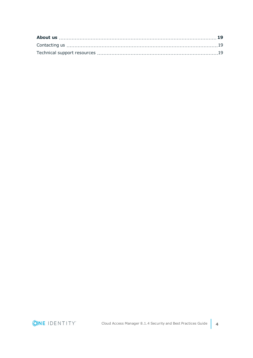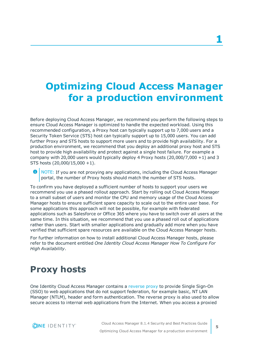# <span id="page-4-0"></span>**Optimizing Cloud Access Manager for a production environment**

Before deploying Cloud Access Manager, we recommend you perform the following steps to ensure Cloud Access Manager is optimized to handle the expected workload. Using this recommended configuration, a Proxy host can typically support up to 7,000 users and a Security Token Service (STS) host can typically support up to 15,000 users. You can add further Proxy and STS hosts to support more users and to provide high availability. For a production environment, we recommend that you deploy an additional proxy host and STS host to provide high availability and protect against a single host failure. For example a company with 20,000 users would typically deploy 4 Proxy hosts  $(20,000/7,000 +1)$  and 3 STS hosts (20,000/15,000 +1).

**O** NOTE: If you are not proxying any applications, including the Cloud Access Manager portal, the number of Proxy hosts should match the number of STS hosts.

To confirm you have deployed a sufficient number of hosts to support your users we recommend you use a phased rollout approach. Start by rolling out Cloud Access Manager to a small subset of users and monitor the CPU and memory usage of the Cloud Access Manager hosts to ensure sufficient spare capacity to scale out to the entire user base. For some applications this approach will not be possible, for example with federated applications such as Salesforce or Office 365 where you have to switch over all users at the same time. In this situation, we recommend that you use a phased roll out of applications rather than users. Start with smaller applications and gradually add more when you have verified that sufficient spare resources are available on the Cloud Access Manager hosts.

For further information on how to install additional Cloud Access Manager hosts, please refer to the document entitled *One Identity Cloud Access Manager How To Configure For High Availability*.

# <span id="page-4-1"></span>**Proxy hosts**

One Identity Cloud Access Manager contains a [reverse](http://en.wikipedia.org/wiki/Reverse_proxy) proxy to provide Single Sign-On (SSO) to web applications that do not support federation, for example basic, NT LAN Manager (NTLM), header and form authentication. The reverse proxy is also used to allow secure access to internal web applications from the Internet. When you access a proxied

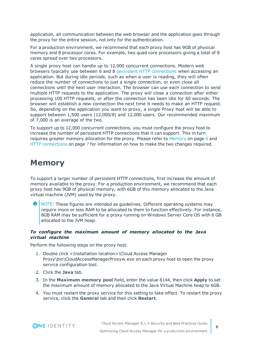application, all communication between the web browser and the application goes through the proxy for the entire session, not only for the authentication.

For a production environment, we recommend that each proxy host has 9GB of physical memory and 8 processor cores. For example, two quad core processors giving a total of 8 cores spread over two processors.

A single proxy host can handle up to 12,000 concurrent connections. Modern web browsers typically use between 6 and 8 persistent HTTP [connections](http://en.wikipedia.org/wiki/HTTP_persistent_connection) when accessing an application. But during idle periods, such as when a user is reading, they will often reduce the number of connections to just a single connection, or even close all connections until the next user interaction. The browser can use each connection to send multiple HTTP requests to the application. The proxy will close a connection after either processing 100 HTTP requests, or after the connection has been idle for 60 seconds. The browser will establish a new connection the next time it needs to make an HTTP request. So, depending on the application you want to proxy, a single Proxy host will be able to support between 1,500 users (12,000/8) and 12,000 users. Our recommended maximum of 7,000 is an average of the two.

To support up to 12,000 concurrent connections, you must configure the proxy host to increase the number of persistent HTTP connections that it can support. This in turn requires greater memory allocation for the proxy. Please refer to [Memory](#page-5-0) on page 6 and HTTP [connections](#page-6-1) on page 7 for information on how to make the two changes required.

### <span id="page-5-0"></span>**Memory**

To support a larger number of persistent HTTP connections, first increase the amount of memory available to the proxy. For a production environment, we recommend that each proxy host has 9GB of physical memory, with 6GB of this memory allocated to the Java virtual machine (JVM) used by the proxy.

6 NOTE: These figures are intended as guidelines. Different operating systems may require more or less RAM to be allocated to them to function effectively. For instance, 8GB RAM may be sufficient for a proxy running on Windows Server Core OS with 6 GB allocated to the JVM heap.

#### *To configure the maximum amount of memory allocated to the Java virtual machine*

Perform the following steps on the proxy host.

- 1. Double click <Installation location>\Cloud Access Manager Proxy\bin\CloudAccessManagerProxyw.exe on each proxy host to open the proxy service configuration tool.
- 2. Click the **Java** tab.
- 3. In the **Maximum memory pool** field, enter the value 6144, then click **Apply** to set the maximum amount of memory allocated to the Java Virtual Machine heap to 6GB.
- 4. You must restart the proxy service for this setting to take effect. To restart the proxy service, click the **General** tab and then click **Restart**.

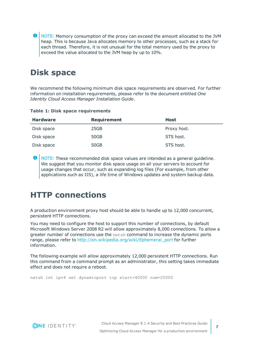$\bullet$  NOTE: Memory consumption of the proxy can exceed the amount allocated to the JVM heap. This is because Java allocates memory to other processes, such as a stack for each thread. Therefore, it is not unusual for the total memory used by the proxy to exceed the value allocated to the JVM heap by up to 10%.

### <span id="page-6-0"></span>**Disk space**

We recommend the following minimum disk space requirements are observed. For further information on installation requirements, please refer to the document entitled *One Identity Cloud Access Manager Installation Guide*.

| <b>Hardware</b> | <b>Requirement</b> | Host        |
|-----------------|--------------------|-------------|
| Disk space      | 25GB               | Proxy host. |
| Disk space      | 50GB               | STS host.   |
| Disk space      | 50GB               | STS host.   |

#### **Table 1: Disk space requirements**

**O** NOTE: These recommended disk space values are intended as a general guideline. We suggest that you monitor disk space usage on all your servers to account for usage changes that occur, such as expanding log files (For example, from other applications such as IIS), a life time of Windows updates and system backup data.

#### <span id="page-6-1"></span>**HTTP connections**

A production environment proxy host should be able to handle up to 12,000 concurrent, persistent HTTP connections.

You may need to configure the host to support this number of connections, by default Microsoft Windows Server 2008 R2 will allow approximately 8,000 connections. To allow a greater number of connections use the netsh command to increase the dynamic ports range, please refer to [http://en.wikipedia.org/wiki/Ephemeral\\_port](http://en.wikipedia.org/wiki/Ephemeral_port) for further information.

The following example will allow approximately 12,000 persistent HTTP connections. Run this command from a command prompt as an administrator, this setting takes immediate effect and does not require a reboot.

netsh int ipv4 set dynamicport tcp start=40000 num=25000

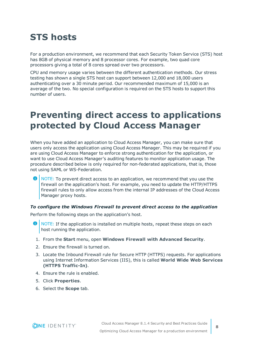# <span id="page-7-0"></span>**STS hosts**

For a production environment, we recommend that each Security Token Service (STS) host has 8GB of physical memory and 8 processor cores. For example, two quad core processors giving a total of 8 cores spread over two processors.

CPU and memory usage varies between the different authentication methods. Our stress testing has shown a single STS host can support between 12,000 and 18,000 users authenticating over a 30 minute period. Our recommended maximum of 15,000 is an average of the two. No special configuration is required on the STS hosts to support this number of users.

# <span id="page-7-1"></span>**Preventing direct access to applications protected by Cloud Access Manager**

When you have added an application to Cloud Access Manager, you can make sure that users only access the application using Cloud Access Manager. This may be required if you are using Cloud Access Manager to enforce strong authentication for the application, or want to use Cloud Access Manager's auditing features to monitor application usage. The procedure described below is only required for non-federated applications, that is, those not using SAML or WS-Federation.

Œ NOTE: To prevent direct access to an application, we recommend that you use the firewall on the application's host. For example, you need to update the HTTP/HTTPS firewall rules to only allow access from the internal IP addresses of the Cloud Access Manager proxy hosts.

#### *To configure the Windows Firewall to prevent direct access to the application*

Perform the following steps on the application's host.

- $\bullet$  NOTE: If the application is installed on multiple hosts, repeat these steps on each host running the application.
- 1. From the **Start** menu, open **Windows Firewall with Advanced Security**.
- 2. Ensure the firewall is turned on.
- 3. Locate the Inbound Firewall rule for Secure HTTP (HTTPS) requests. For applications using Internet Information Services (IIS), this is called **World Wide Web Services (HTTPS Traffic-In)**.
- 4. Ensure the rule is enabled.
- 5. Click **Properties**.
- 6. Select the **Scope** tab.

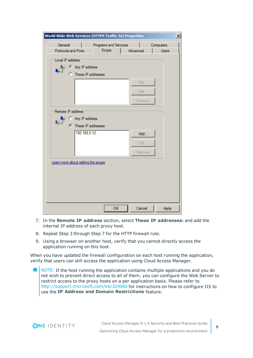| <b>World Wide Web Services (HTTPS Traffic-In) Properties</b> |                       |                       |          | $\vert x \vert$ |
|--------------------------------------------------------------|-----------------------|-----------------------|----------|-----------------|
| General                                                      |                       | Programs and Services |          | Computers       |
| Protocols and Ports                                          |                       | Scope                 | Advanced | <b>Users</b>    |
| Local IP address                                             |                       |                       |          |                 |
|                                                              | Any IP address        |                       |          |                 |
|                                                              | C These IP addresses: |                       |          |                 |
|                                                              |                       |                       | Add      |                 |
|                                                              |                       |                       | Edit     |                 |
|                                                              |                       |                       | Remove   |                 |
|                                                              |                       |                       |          |                 |
| Remote IP address                                            |                       |                       |          |                 |
| <b>Business</b>                                              | C Any IP address      |                       |          |                 |
|                                                              | C These IP addresses: |                       |          |                 |
|                                                              | 192.168.0.12          |                       | Add      |                 |
|                                                              |                       |                       | Edit     |                 |
|                                                              |                       |                       | Remove   |                 |
|                                                              |                       |                       |          |                 |
| Leam more about setting the scope                            |                       |                       |          |                 |
|                                                              |                       |                       |          |                 |
|                                                              |                       |                       |          |                 |
|                                                              |                       |                       |          |                 |
|                                                              |                       |                       |          |                 |
|                                                              |                       |                       |          |                 |
|                                                              |                       | OK                    | Cancel   | <b>Apply</b>    |

- 7. In the **Remote IP address** section, select **These IP addresses:** and add the internal IP address of each proxy host.
- 8. Repeat Step 3 through Step 7 for the HTTP firewall rule.
- 9. Using a browser on another host, verify that you cannot directly access the application running on this host.

When you have updated the firewall configuration on each host running the application, verify that users can still access the application using Cloud Access Manager.

0 NOTE: If the host running the application contains multiple applications and you do not wish to prevent direct access to all of them, you can configure the Web Server to restrict access to the proxy hosts on a per application basis. Please refer to <http://support.microsoft.com/kb/324066> for instructions on how to configure IIS to use the **IP Address and Domain Restrictions** feature.

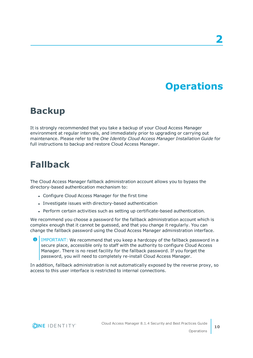# **Operations**

# <span id="page-9-1"></span><span id="page-9-0"></span>**Backup**

It is strongly recommended that you take a backup of your Cloud Access Manager environment at regular intervals, and immediately prior to upgrading or carrying out maintenance. Please refer to the *One Identity Cloud Access Manager Installation Guide* for full instructions to backup and restore Cloud Access Manager.

## <span id="page-9-2"></span>**Fallback**

The Cloud Access Manager fallback administration account allows you to bypass the directory-based authentication mechanism to:

- Configure Cloud Access Manager for the first time
- Investigate issues with directory-based authentication
- Perform certain activities such as setting up certificate-based authentication.

We recommend you choose a password for the fallback administration account which is complex enough that it cannot be guessed, and that you change it regularly. You can change the fallback password using the Cloud Access Manager administration interface.

**O** | IMPORTANT: We recommend that you keep a hardcopy of the fallback password in a secure place, accessible only to staff with the authority to configure Cloud Access Manager. There is no reset facility for the fallback password. If you forget the password, you will need to completely re-install Cloud Access Manager.

In addition, fallback administration is not automatically exposed by the reverse proxy, so access to this user interface is restricted to internal connections.

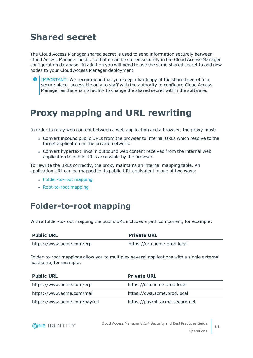# <span id="page-10-0"></span>**Shared secret**

The Cloud Access Manager shared secret is used to send information securely between Cloud Access Manager hosts, so that it can be stored securely in the Cloud Access Manager configuration database. In addition you will need to use the same shared secret to add new nodes to your Cloud Access Manager deployment.

Œ IMPORTANT: We recommend that you keep a hardcopy of the shared secret in a secure place, accessible only to staff with the authority to configure Cloud Access Manager as there is no facility to change the shared secret within the software.

# <span id="page-10-1"></span>**Proxy mapping and URL rewriting**

In order to relay web content between a web application and a browser, the proxy must:

- <sup>l</sup> Convert inbound public URLs from the browser to internal URLs which resolve to the target application on the private network.
- Convert hypertext links in outbound web content received from the internal web application to public URLs accessible by the browser.

To rewrite the URLs correctly, the proxy maintains an internal mapping table. An application URL can be mapped to its public URL equivalent in one of two ways:

- [Folder-to-root](#page-10-2) mapping
- [Root-to-root](#page-11-0) mapping

#### <span id="page-10-2"></span>**Folder-to-root mapping**

With a folder-to-root mapping the public URL includes a path component, for example:

| <b>Public URL</b>        | <b>Private URL</b>          |
|--------------------------|-----------------------------|
| https://www.acme.com/erp | https://erp.acme.prod.local |

Folder-to-root mappings allow you to multiplex several applications with a single external hostname, for example:

| <b>Public URL</b>            | <b>Private URL</b>              |
|------------------------------|---------------------------------|
| https://www.acme.com/erp     | https://erp.acme.prod.local     |
| https://www.acme.com/mail    | https://owa.acme.prod.local     |
| https://www.acme.com/payroll | https://payroll.acme.secure.net |

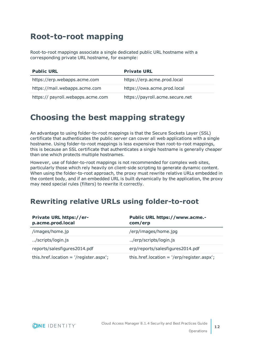### <span id="page-11-0"></span>**Root-to-root mapping**

Root-to-root mappings associate a single dedicated public URL hostname with a corresponding private URL hostname, for example:

| <b>Public URL</b>                 | <b>Private URL</b>              |
|-----------------------------------|---------------------------------|
| https://erp.webapps.acme.com      | https://erp.acme.prod.local     |
| https://mail.webapps.acme.com     | https://owa.acme.prod.local     |
| https:// payroll.webapps.acme.com | https://payroll.acme.secure.net |

### <span id="page-11-1"></span>**Choosing the best mapping strategy**

An advantage to using folder-to-root mappings is that the Secure Sockets Layer (SSL) certificate that authenticates the public server can cover all web applications with a single hostname. Using folder-to-root mappings is less expensive than root-to-root mappings, this is because an SSL certificate that authenticates a single hostname is generally cheaper than one which protects multiple hostnames.

However, use of folder-to-root mappings is not recommended for complex web sites, particularly those which rely heavily on client-side scripting to generate dynamic content. When using the folder-to-root approach, the proxy must rewrite relative URLs embedded in the content body, and if an embedded URL is built dynamically by the application, the proxy may need special rules (filters) to rewrite it correctly.

#### <span id="page-11-2"></span>**Rewriting relative URLs using folder-to-root**

| Private URL https://er-<br>p.acme.prod.local                      | Public URL https://www.acme.-<br>com/erp                              |
|-------------------------------------------------------------------|-----------------------------------------------------------------------|
| /images/home.jp                                                   | /erp/images/home.jpg                                                  |
| /scripts/login.js                                                 | /erp/scripts/login.js                                                 |
| reports/salesfigures2014.pdf                                      | erp/reports/salesfigures2014.pdf                                      |
| this.href.location = $\frac{1}{2}$ /register.aspx $\frac{1}{2}$ ; | this.href.location = $\frac{1}{e}$ /erp/register.aspx $\frac{1}{e}$ ; |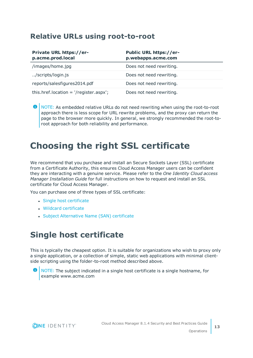#### <span id="page-12-0"></span>**Relative URLs using root-to-root**

| Private URL https://er-<br>p.acme.prod.local                      | Public URL https://er-<br>p.webapps.acme.com |
|-------------------------------------------------------------------|----------------------------------------------|
| /images/home.jpg                                                  | Does not need rewriting.                     |
| /scripts/login.js                                                 | Does not need rewriting.                     |
| reports/salesfigures2014.pdf                                      | Does not need rewriting.                     |
| this.href.location = $\frac{1}{2}$ /register.aspx $\frac{1}{2}$ ; | Does not need rewriting.                     |

0 NOTE: As embedded relative URLs do not need rewriting when using the root-to-root approach there is less scope for URL rewrite problems, and the proxy can return the page to the browser more quickly. In general, we strongly recommended the root-toroot approach for both reliability and performance.

# <span id="page-12-1"></span>**Choosing the right SSL certificate**

We recommend that you purchase and install an Secure Sockets Layer (SSL) certificate from a Certificate Authority, this ensures Cloud Access Manager users can be confident they are interacting with a genuine service. Please refer to the *One Identity Cloud access Manager Installation Guide* for full instructions on how to request and install an SSL certificate for Cloud Access Manager.

You can purchase one of three types of SSL certificate:

- Single host [certificate](#page-12-2)
- $\bullet$  Wildcard [certificate](#page-13-0)
- Subject [Alternative](#page-13-1) Name (SAN) certificate

### <span id="page-12-2"></span>**Single host certificate**

This is typically the cheapest option. It is suitable for organizations who wish to proxy only a single application, or a collection of simple, static web applications with minimal clientside scripting using the folder-to-root method described above.



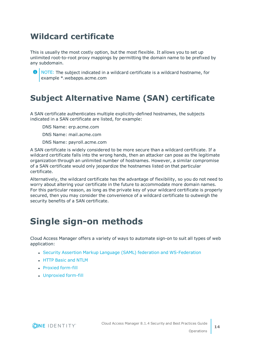## <span id="page-13-0"></span>**Wildcard certificate**

This is usually the most costly option, but the most flexible. It allows you to set up unlimited root-to-root proxy mappings by permitting the domain name to be prefixed by any subdomain.



**O** NOTE: The subject indicated in a wildcard certificate is a wildcard hostname, for example \*.webapps.acme.com

## <span id="page-13-1"></span>**Subject Alternative Name (SAN) certificate**

A SAN certificate authenticates multiple explicitly-defined hostnames, the subjects indicated in a SAN certificate are listed, for example:

DNS Name: erp.acme.com

DNS Name: mail.acme.com

DNS Name: payroll.acme.com

A SAN certificate is widely considered to be more secure than a wildcard certificate. If a wildcard certificate falls into the wrong hands, then an attacker can pose as the legitimate organization through an unlimited number of hostnames. However, a similar compromise of a SAN certificate would only jeopardize the hostnames listed on that particular certificate.

Alternatively, the wildcard certificate has the advantage of flexibility, so you do not need to worry about altering your certificate in the future to accommodate more domain names. For this particular reason, as long as the private key of your wildcard certificate is properly secured, then you may consider the convenience of a wildcard certificate to outweigh the security benefits of a SAN certificate.

# <span id="page-13-2"></span>**Single sign-on methods**

Cloud Access Manager offers a variety of ways to automate sign-on to suit all types of web application:

- Security Assertion Markup Language (SAML) federation and [WS-Federation](#page-14-0)
- **.** HTTP Basic and [NTLM](#page-14-1)
- Proxied [form-fill](#page-14-2)
- [Unproxied](#page-15-0) form-fill

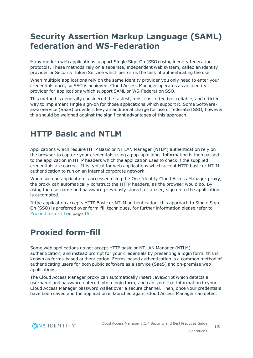### <span id="page-14-0"></span>**Security Assertion Markup Language (SAML) federation and WS-Federation**

Many modern web applications support Single Sign-On (SSO) using identity federation protocols. These methods rely on a separate, independent web system, called an identity provider or Security Token Service which performs the task of authenticating the user.

When multiple applications rely on the same identity provider you only need to enter your credentials once, so SSO is achieved. Cloud Access Manager operates as an identity provider for applications which support SAML or WS-Federation SSO.

This method is generally considered the fastest, most cost-effective, reliable, and efficient way to implement single sign-on for those applications which support it. Some Softwareas-a-Service (SaaS) providers levy an additional charge for use of federated SSO, however this should be weighed against the significant advantages of this approach.

### <span id="page-14-1"></span>**HTTP Basic and NTLM**

Applications which require HTTP Basic or NT LAN Manager (NTLM) authentication rely on the browser to capture your credentials using a pop-up dialog. Information is then passed to the application in HTTP headers which the application uses to check if the supplied credentials are correct. It is typical for web applications which accept HTTP basic or NTLM authentication to run on an internal corporate network.

When such an application is accessed using the One Identity Cloud Access Manager proxy, the proxy can automatically construct the HTTP headers, as the browser would do. By using the username and password previously stored for a user, sign on to the application is automated.

If the application accepts HTTP Basic or NTLM authentication, this approach to Single Sign-On (SSO) is preferred over form-fill techniques, for further information please refer to Proxied [form-fill](#page-14-2) on page 15.

## <span id="page-14-2"></span>**Proxied form-fill**

Some web applications do not accept HTTP basic or NT LAN Manager (NTLM) authentication, and instead prompt for your credentials by presenting a login form, this is known as forms-based authentication. Forms-based authentication is a common method of authenticating users for both public software as a service (SaaS) and on-premise web applications.

The Cloud Access Manager proxy can automatically insert JavaScript which detects a username and password entered into a login form, and can save that information in your Cloud Access Manager password wallet over a secure channel. Then, once your credentials have been saved and the application is launched again, Cloud Access Manager can detect

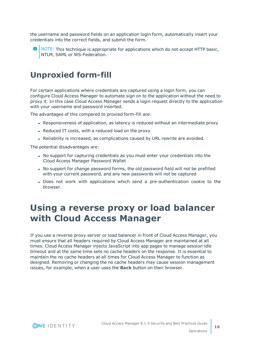the username and password fields on an application login form, automatically insert your credentials into the correct fields, and submit the form.

 $\bullet$  NOTE: This technique is appropriate for applications which do not accept HTTP basic, NTLM, SAML or WS-Federation.

### <span id="page-15-0"></span>**Unproxied form-fill**

For certain applications where credentials are captured using a login form, you can configure Cloud Access Manager to automate sign on to the application without the need to proxy it. In this case Cloud Access Manager sends a login request directly to the application with your username and password inserted.

The advantages of this compared to proxied form-fill are:

- Responsiveness of application, as latency is reduced without an intermediate proxy
- Reduced IT costs, with a reduced load on the proxy
- Reliability is increased, as complications caused by URL rewrite are avoided.

The potential disadvantages are:

- No support for capturing credentials as you must enter your credentials into the Cloud Access Manager Password Wallet
- No support for change password forms, the old password field will not be prefilled with your current password, and any new passwords will not be captured
- Does not work with applications which send a pre-authentication cookie to the browser.

# <span id="page-15-1"></span>**Using a reverse proxy or load balancer with Cloud Access Manager**

If you use a reverse proxy server or load balancer in front of Cloud Access Manager, you must ensure that all headers required by Cloud Access Manager are maintained at all times. Cloud Access Manager injects JavaScript into app pages to manage session idle timeout and at the same time sets no cache headers on the response. It is essential to maintain the no cache headers at all times for Cloud Access Manager to function as designed. Removing or changing the no cache headers may cause session management issues, for example, when a user uses the **Back** button on their browser.

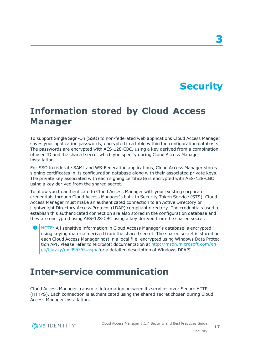# **Security**

# <span id="page-16-1"></span><span id="page-16-0"></span>**Information stored by Cloud Access Manager**

To support Single Sign-On (SSO) to non-federated web applications Cloud Access Manager saves your application passwords, encrypted in a table within the configuration database. The passwords are encrypted with AES-128-CBC, using a key derived from a combination of user ID and the shared secret which you specify during Cloud Access Manager installation.

For SSO to federate SAML and WS-Federation applications, Cloud Access Manager stores signing certificates in its configuration database along with their associated private keys. The private key associated with each signing certificate is encrypted with AES-128-CBC using a key derived from the shared secret.

To allow you to authenticate to Cloud Access Manager with your existing corporate credentials through Cloud Access Manager's built-in Security Token Service (STS), Cloud Access Manager must make an authenticated connection to an Active Directory or Lightweight Directory Access Protocol (LDAP) compliant directory. The credentials used to establish this authenticated connection are also stored in the configuration database and they are encrypted using AES-128-CBC using a key derived from the shared secret.

Œ NOTE: All sensitive information in Cloud Access Manager's database is encrypted using keying material derived from the shared secret. The shared secret is stored on each Cloud Access Manager host in a local file, encrypted using Windows Data Protection API. Please refer to Microsoft documentation at [http://msdn.microsoft.com/en](http://msdn.microsoft.com/en-gb/library/ms995355.aspx)[gb/library/ms995355.aspx](http://msdn.microsoft.com/en-gb/library/ms995355.aspx) for a detailed description of Windows DPAPI.

### <span id="page-16-2"></span>**Inter-service communication**

Cloud Access Manager transmits information between its services over Secure HTTP (HTTPS). Each connection is authenticated using the shared secret chosen during Cloud Access Manager installation.

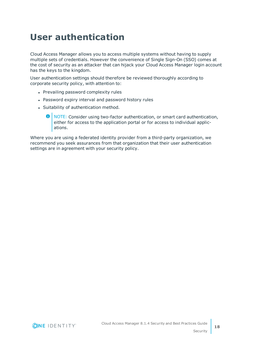# <span id="page-17-0"></span>**User authentication**

Cloud Access Manager allows you to access multiple systems without having to supply multiple sets of credentials. However the convenience of Single Sign-On (SSO) comes at the cost of security as an attacker that can hijack your Cloud Access Manager login account has the keys to the kingdom.

User authentication settings should therefore be reviewed thoroughly according to corporate security policy, with attention to:

- Prevailing password complexity rules
- Password expiry interval and password history rules
- Suitability of authentication method.
	- 6 NOTE: Consider using two-factor authentication, or smart card authentication, either for access to the application portal or for access to individual applications.

Where you are using a federated identity provider from a third-party organization, we recommend you seek assurances from that organization that their user authentication settings are in agreement with your security policy.